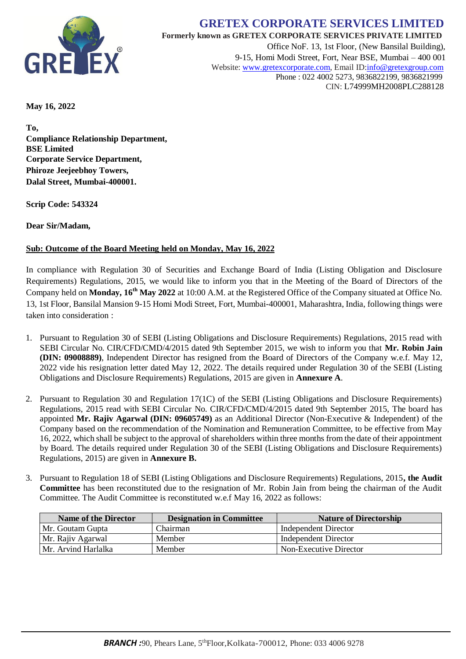

**Formerly known as GRETEX CORPORATE SERVICES PRIVATE LIMITED**

Office NoF. 13, 1st Floor, (New Bansilal Building), 9-15, Homi Modi Street, Fort, Near BSE, Mumbai – 400 001 Website: [www.gretexcorporate.com,](http://www.gretexcorporate.com/) Email ID[:info@gretexgroup.com](mailto:info@gretexgroup.com) Phone : 022 4002 5273, 9836822199, 9836821999 CIN: L74999MH2008PLC288128

**May 16, 2022**

**To, Compliance Relationship Department, BSE Limited Corporate Service Department, Phiroze Jeejeebhoy Towers, Dalal Street, Mumbai-400001.**

**Scrip Code: 543324**

**Dear Sir/Madam,**

#### **Sub: Outcome of the Board Meeting held on Monday, May 16, 2022**

In compliance with Regulation 30 of Securities and Exchange Board of India (Listing Obligation and Disclosure Requirements) Regulations, 2015, we would like to inform you that in the Meeting of the Board of Directors of the Company held on **Monday, 16th May 2022** at 10:00 A.M. at the Registered Office of the Company situated at Office No. 13, 1st Floor, Bansilal Mansion 9-15 Homi Modi Street, Fort, Mumbai-400001, Maharashtra, India, following things were taken into consideration :

- 1. Pursuant to Regulation 30 of SEBI (Listing Obligations and Disclosure Requirements) Regulations, 2015 read with SEBI Circular No. CIR/CFD/CMD/4/2015 dated 9th September 2015, we wish to inform you that **Mr. Robin Jain (DIN: 09008889)**, Independent Director has resigned from the Board of Directors of the Company w.e.f. May 12, 2022 vide his resignation letter dated May 12, 2022. The details required under Regulation 30 of the SEBI (Listing Obligations and Disclosure Requirements) Regulations, 2015 are given in **Annexure A**.
- 2. Pursuant to Regulation 30 and Regulation 17(1C) of the SEBI (Listing Obligations and Disclosure Requirements) Regulations, 2015 read with SEBI Circular No. CIR/CFD/CMD/4/2015 dated 9th September 2015, The board has appointed **Mr. Rajiv Agarwal (DIN: 09605749)** as an Additional Director (Non-Executive & Independent) of the Company based on the recommendation of the Nomination and Remuneration Committee, to be effective from May 16, 2022, which shall be subject to the approval of shareholders within three months from the date of their appointment by Board. The details required under Regulation 30 of the SEBI (Listing Obligations and Disclosure Requirements) Regulations, 2015) are given in **Annexure B.**
- 3. Pursuant to Regulation 18 of SEBI (Listing Obligations and Disclosure Requirements) Regulations, 2015**, the Audit Committee** has been reconstituted due to the resignation of Mr. Robin Jain from being the chairman of the Audit Committee. The Audit Committee is reconstituted w.e.f May 16, 2022 as follows:

| <b>Name of the Director</b> | <b>Designation in Committee</b> | <b>Nature of Directorship</b> |
|-----------------------------|---------------------------------|-------------------------------|
| Mr. Goutam Gupta            | Chairman                        | Independent Director          |
| Mr. Rajiv Agarwal           | Member                          | Independent Director          |
| Mr. Arvind Harlalka         | Member                          | Non-Executive Director        |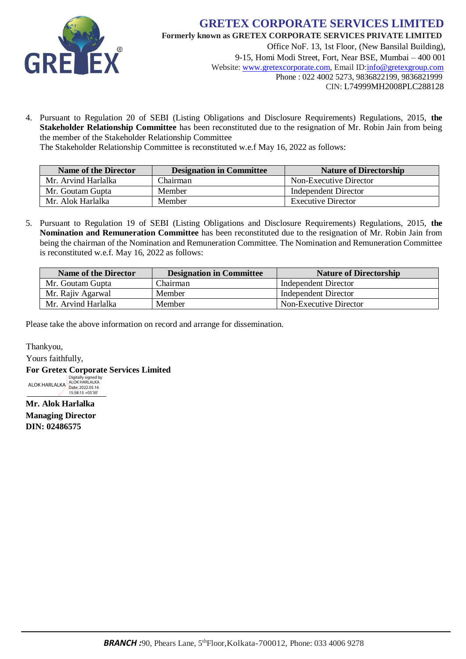

**Formerly known as GRETEX CORPORATE SERVICES PRIVATE LIMITED**

Office NoF. 13, 1st Floor, (New Bansilal Building), 9-15, Homi Modi Street, Fort, Near BSE, Mumbai – 400 001 Website: [www.gretexcorporate.com,](http://www.gretexcorporate.com/) Email ID[:info@gretexgroup.com](mailto:info@gretexgroup.com) Phone : 022 4002 5273, 9836822199, 9836821999 CIN: L74999MH2008PLC288128

4. Pursuant to Regulation 20 of SEBI (Listing Obligations and Disclosure Requirements) Regulations, 2015, **the Stakeholder Relationship Committee** has been reconstituted due to the resignation of Mr. Robin Jain from being the member of the Stakeholder Relationship Committee

The Stakeholder Relationship Committee is reconstituted w.e.f May 16, 2022 as follows:

| <b>Name of the Director</b> | <b>Designation in Committee</b> | <b>Nature of Directorship</b> |
|-----------------------------|---------------------------------|-------------------------------|
| Mr. Arvind Harlalka         | Chairman                        | Non-Executive Director        |
| Mr. Goutam Gupta            | Member                          | Independent Director          |
| Mr. Alok Harlalka           | Member                          | <b>Executive Director</b>     |

5. Pursuant to Regulation 19 of SEBI (Listing Obligations and Disclosure Requirements) Regulations, 2015, **the Nomination and Remuneration Committee** has been reconstituted due to the resignation of Mr. Robin Jain from being the chairman of the Nomination and Remuneration Committee. The Nomination and Remuneration Committee is reconstituted w.e.f. May 16, 2022 as follows:

| <b>Name of the Director</b> | <b>Designation in Committee</b> | <b>Nature of Directorship</b> |
|-----------------------------|---------------------------------|-------------------------------|
| Mr. Goutam Gupta            | Chairman                        | Independent Director          |
| Mr. Rajiv Agarwal           | Member                          | Independent Director          |
| Mr. Arvind Harlalka         | Member                          | Non-Executive Director        |

Please take the above information on record and arrange for dissemination.

Thankyou, Yours faithfully, **For Gretex Corporate Services Limited** 

ALOK HARLALKA Digitally signed by ALOK HARLALKA Date: 2022.05.16 15:58:15 +05'30'

**Mr. Alok Harlalka Managing Director DIN: 02486575**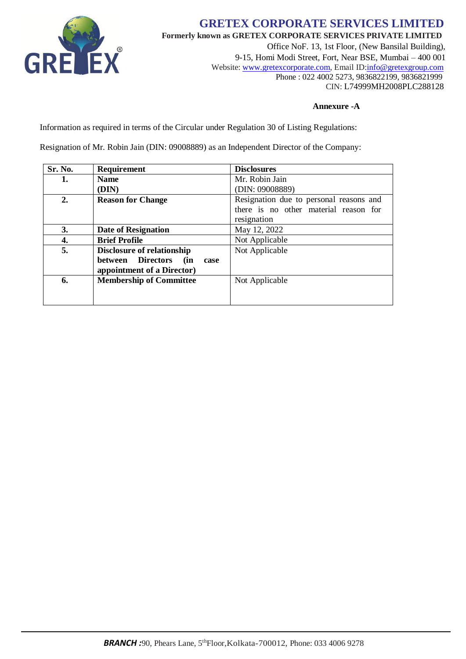

**Formerly known as GRETEX CORPORATE SERVICES PRIVATE LIMITED**

Office NoF. 13, 1st Floor, (New Bansilal Building), 9-15, Homi Modi Street, Fort, Near BSE, Mumbai – 400 001 Website: [www.gretexcorporate.com,](http://www.gretexcorporate.com/) Email ID[:info@gretexgroup.com](mailto:info@gretexgroup.com) Phone : 022 4002 5273, 9836822199, 9836821999 CIN: L74999MH2008PLC288128

#### **Annexure -A**

Information as required in terms of the Circular under Regulation 30 of Listing Regulations:

Resignation of Mr. Robin Jain (DIN: 09008889) as an Independent Director of the Company:

| Sr. No. | <b>Requirement</b>                | <b>Disclosures</b>                      |
|---------|-----------------------------------|-----------------------------------------|
|         | <b>Name</b>                       | Mr. Robin Jain                          |
|         | (DIN)                             | (DIN: 09008889)                         |
| 2.      | <b>Reason for Change</b>          | Resignation due to personal reasons and |
|         |                                   | there is no other material reason for   |
|         |                                   | resignation                             |
| 3.      | Date of Resignation               | May 12, 2022                            |
| 4.      | <b>Brief Profile</b>              | Not Applicable                          |
| 5.      | Disclosure of relationship        | Not Applicable                          |
|         | between Directors<br>(in)<br>case |                                         |
|         | appointment of a Director)        |                                         |
| 6.      | <b>Membership of Committee</b>    | Not Applicable                          |
|         |                                   |                                         |
|         |                                   |                                         |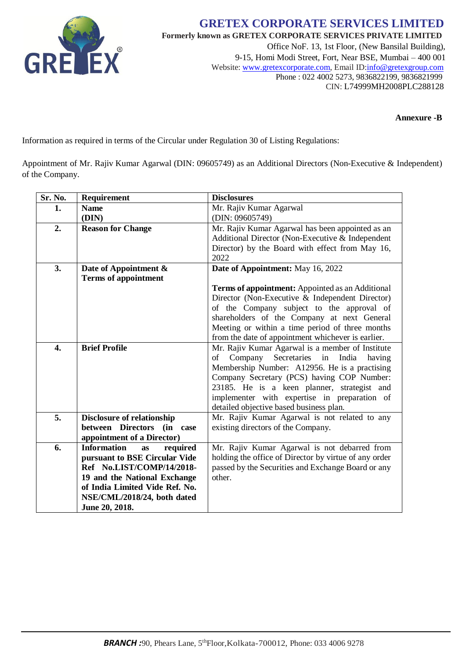

**Formerly known as GRETEX CORPORATE SERVICES PRIVATE LIMITED**

Office NoF. 13, 1st Floor, (New Bansilal Building), 9-15, Homi Modi Street, Fort, Near BSE, Mumbai – 400 001 Website: [www.gretexcorporate.com,](http://www.gretexcorporate.com/) Email ID[:info@gretexgroup.com](mailto:info@gretexgroup.com) Phone : 022 4002 5273, 9836822199, 9836821999 CIN: L74999MH2008PLC288128

### **Annexure -B**

Information as required in terms of the Circular under Regulation 30 of Listing Regulations:

Appointment of Mr. Rajiv Kumar Agarwal (DIN: 09605749) as an Additional Directors (Non-Executive & Independent) of the Company.

| Sr. No. | <b>Requirement</b>                          | <b>Disclosures</b>                                    |
|---------|---------------------------------------------|-------------------------------------------------------|
| 1.      | <b>Name</b>                                 | Mr. Rajiv Kumar Agarwal                               |
|         | (DIN)                                       | (DIN: 09605749)                                       |
| 2.      | <b>Reason for Change</b>                    | Mr. Rajiv Kumar Agarwal has been appointed as an      |
|         |                                             | Additional Director (Non-Executive & Independent      |
|         |                                             | Director) by the Board with effect from May 16,       |
|         |                                             | 2022                                                  |
| 3.      | Date of Appointment &                       | Date of Appointment: May 16, 2022                     |
|         | <b>Terms of appointment</b>                 |                                                       |
|         |                                             | Terms of appointment: Appointed as an Additional      |
|         |                                             | Director (Non-Executive & Independent Director)       |
|         |                                             | of the Company subject to the approval of             |
|         |                                             | shareholders of the Company at next General           |
|         |                                             | Meeting or within a time period of three months       |
|         |                                             | from the date of appointment whichever is earlier.    |
| 4.      | <b>Brief Profile</b>                        | Mr. Rajiv Kumar Agarwal is a member of Institute      |
|         |                                             | Company<br>Secretaries<br>of<br>India<br>in<br>having |
|         |                                             | Membership Number: A12956. He is a practising         |
|         |                                             | Company Secretary (PCS) having COP Number:            |
|         |                                             | 23185. He is a keen planner, strategist and           |
|         |                                             | implementer with expertise in preparation of          |
|         |                                             | detailed objective based business plan.               |
| 5.      | <b>Disclosure of relationship</b>           | Mr. Rajiv Kumar Agarwal is not related to any         |
|         | between Directors (in case                  | existing directors of the Company.                    |
|         | appointment of a Director)                  |                                                       |
| 6.      | <b>Information</b><br>required<br><b>as</b> | Mr. Rajiv Kumar Agarwal is not debarred from          |
|         | pursuant to BSE Circular Vide               | holding the office of Director by virtue of any order |
|         | Ref No.LIST/COMP/14/2018-                   | passed by the Securities and Exchange Board or any    |
|         | 19 and the National Exchange                | other.                                                |
|         | of India Limited Vide Ref. No.              |                                                       |
|         | NSE/CML/2018/24, both dated                 |                                                       |
|         | June 20, 2018.                              |                                                       |